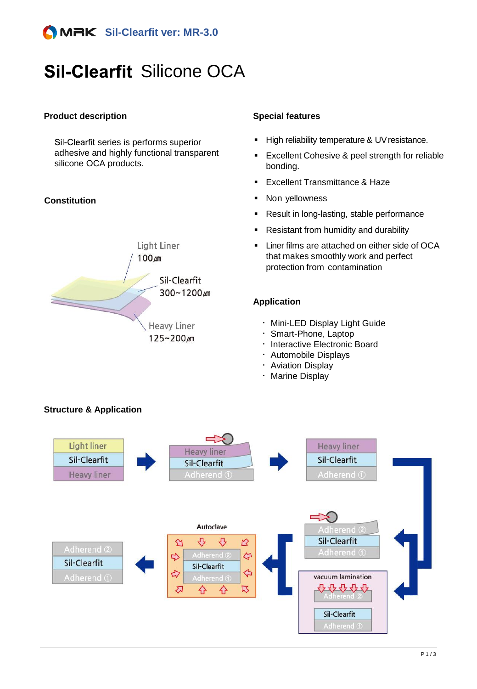

# **Sil-Clearfit Silicone OCA**

#### **Product description Special features**

Sil-Clearfit series is performs superior adhesive and highly functional transparent silicone OCA products.

#### **Constitution**



- **High reliability temperature & UV resistance.**
- **Excellent Cohesive & peel strength for reliable** bonding.
- **Excellent Transmittance & Haze**
- Non yellowness
- Result in long-lasting, stable performance
- Resistant from humidity and durability
- Liner films are attached on either side of OCA that makes smoothly work and perfect protection from contamination

#### **Application**

- ᆞ Mini-LED Display Light Guide
- ᆞ Smart-Phone, Laptop
- ᆞ Interactive Electronic Board
- ᆞ Automobile Displays
- ᆞ Aviation Display
- ᆞ Marine Display



### **Structure & Application**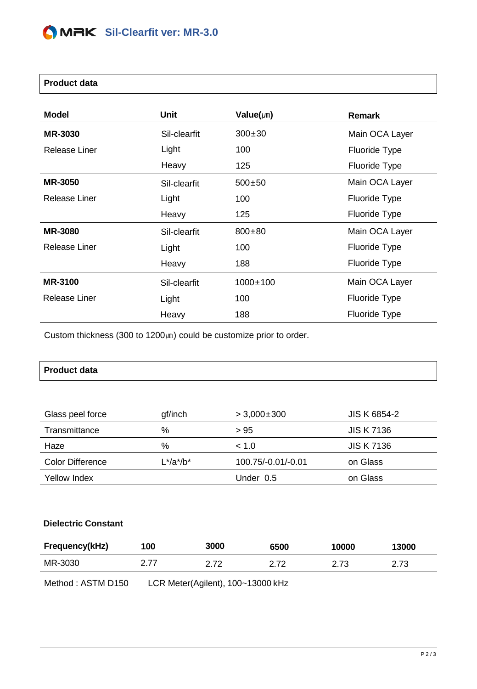#### **Product data**

| <b>Model</b>   | Unit         | Value( $\mu$ m) | <b>Remark</b>  |
|----------------|--------------|-----------------|----------------|
| <b>MR-3030</b> | Sil-clearfit | $300 \pm 30$    | Main OCA Layer |
| Release Liner  | Light        | 100             | Fluoride Type  |
|                | Heavy        | 125             | Fluoride Type  |
| <b>MR-3050</b> | Sil-clearfit | $500 + 50$      | Main OCA Layer |
| Release Liner  | Light        | 100             | Fluoride Type  |
|                | Heavy        | 125             | Fluoride Type  |
| <b>MR-3080</b> | Sil-clearfit | $800 \pm 80$    | Main OCA Layer |
| Release Liner  | Light        | 100             | Fluoride Type  |
|                | Heavy        | 188             | Fluoride Type  |
| <b>MR-3100</b> | Sil-clearfit | $1000 \pm 100$  | Main OCA Layer |
| Release Liner  | Light        | 100             | Fluoride Type  |
|                | Heavy        | 188             | Fluoride Type  |

Custom thickness (300 to 1200㎛) could be customize prior to order.

| <b>Product data</b> |  |  |
|---------------------|--|--|
|---------------------|--|--|

| Glass peel force | gf/inch       | $> 3,000\pm300$    | <b>JIS K 6854-2</b> |
|------------------|---------------|--------------------|---------------------|
| Transmittance    | $\%$          | > 95               | <b>JIS K 7136</b>   |
| Haze             | %             | ~< 1.0             | <b>JIS K 7136</b>   |
| Color Difference | $L^*/a^*/b^*$ | 100.75/-0.01/-0.01 | on Glass            |
| Yellow Index     |               | Under 0.5          | on Glass            |

#### **Dielectric Constant**

| Frequency(kHz) | 100  | <b>3000</b> | 6500 | 10000 | 13000 |
|----------------|------|-------------|------|-------|-------|
| MR-3030        | 2.77 | ว 7ว        | 2 72 | 2.73  | 2.73  |

Method : ASTM D150 LCR Meter(Agilent), 100~13000 kHz